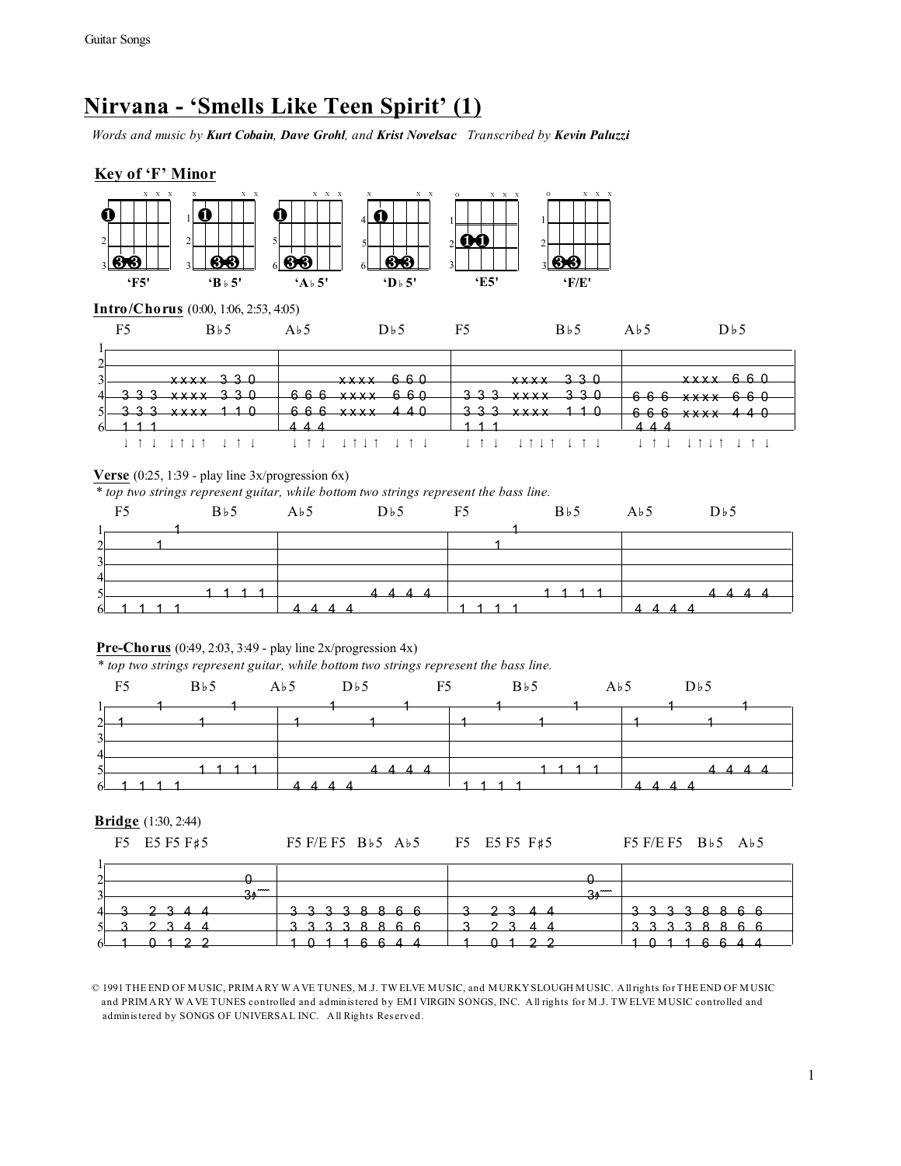# **Nirvana - 'Smells Like Teen Spirit' (1)**

*Words and music by Kurt Cobain, Dave Grohl, and Krist Novelsac Transcribed by Kevin Paluzzi*

# **Key of 'F' Minor**



### **Verse** (0:25, 1:39 - play line 3x/progression 6x)

*\* top two strings represent guitar, while bottom two strings represent the bass line.*

| F <sub>5</sub>           |                   | $B\flat 5$ $A\flat 5$ $D\flat 5$ F5 | $B\flat 5$ $A\flat 5$ |                                                                   | $D \flat 5$ |
|--------------------------|-------------------|-------------------------------------|-----------------------|-------------------------------------------------------------------|-------------|
| $\sim$<br>$\overline{2}$ |                   |                                     |                       |                                                                   |             |
| $\overline{4}$           |                   |                                     |                       |                                                                   |             |
| $\leq$                   | $6 - 1$ 1 1 1 $1$ | 1111 4444 1111 444                  | 111                   | $\begin{array}{ccccccccccccccccc}\nA & A & A & A & \n\end{array}$ |             |

#### **Pre-Chorus** (0:49, 2:03, 3:49 - play line 2x/progression 4x)

\* *top two strings represent guitar, while bottom two strings represent the bass line.*

|                | F5              |  | $B\flat 5$ $A\flat 5$ $D\flat 5$ F5 |  | $B\nmid 5$ $A\nmid 5$ |  | $D\flat 5$ |  |
|----------------|-----------------|--|-------------------------------------|--|-----------------------|--|------------|--|
|                |                 |  |                                     |  |                       |  |            |  |
| ി              |                 |  |                                     |  |                       |  |            |  |
| $\overline{2}$ |                 |  |                                     |  |                       |  |            |  |
| $\overline{4}$ |                 |  |                                     |  |                       |  |            |  |
|                |                 |  |                                     |  |                       |  |            |  |
| $\leq$         |                 |  |                                     |  |                       |  |            |  |
|                | $6 - 1$ 1 1 1 1 |  | the control of the control of       |  | 1 1 1 1               |  |            |  |

#### **Bridge** (1:30, 2:44)

|  | F5 E5 F5 F#5 | F5 F/E F5 B $\overline{5}$ A $\overline{5}$ |  | F5 E5 F5 F#5 | F5 F/E F5 $B\flat$ 5 A $\flat$ 5 |  |
|--|--------------|---------------------------------------------|--|--------------|----------------------------------|--|
|  |              |                                             |  |              |                                  |  |

| ി                             |                          |                                                                         |             |                   |
|-------------------------------|--------------------------|-------------------------------------------------------------------------|-------------|-------------------|
| <b>A</b>                      | $\overline{\phantom{a}}$ |                                                                         |             |                   |
| $\overline{\phantom{a}}$<br>ັ | 34                       |                                                                         | $\sim$<br>ᡂ |                   |
| 4                             | o                        | <u>ດ ດ</u><br>╼<br>÷<br>⇁<br>—<br>—                                     | ⇁<br>o      | $\sim$<br>÷<br>., |
| $\leq$                        |                          | $\begin{array}{ccc} & \texttt{2} & \texttt{3} & \texttt{3} \end{array}$ |             | ົດ                |
| $6-$                          |                          | $- -$                                                                   | ⌒           |                   |

© 1991 THE END OF M USIC, PRIM A RY W A VE TUNES, M .J. TW ELVE M USIC, and M URKY SLOUGH M USIC. A ll rights for THE END OF M USIC and PRIM A RY W A VE TUNES controlled and adminis tered by EM I VIRGIN SONGS, INC. A ll rights for M .J. TW ELVE M USIC controlled and administered by SONGS OF UNIVERSAL INC. All Rights Reserved.